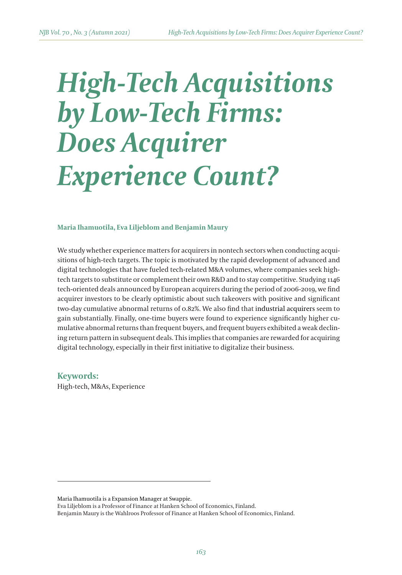# *High-Tech Acquisitions by Low-Tech Firms: Does Acquirer Experience Count?*

#### **Maria Ihamuotila, Eva Liljeblom and Benjamin Maury**

We study whether experience matters for acquirers in nontech sectors when conducting acquisitions of high-tech targets. The topic is motivated by the rapid development of advanced and digital technologies that have fueled tech-related M&A volumes, where companies seek hightech targets to substitute or complement their own R&D and to stay competitive. Studying 1146 tech-oriented deals announced by European acquirers during the period of 2006-2019, we find acquirer investors to be clearly optimistic about such takeovers with positive and significant two-day cumulative abnormal returns of 0.82%. We also find that industrial acquirers seem to gain substantially. Finally, one-time buyers were found to experience significantly higher cumulative abnormal returns than frequent buyers, and frequent buyers exhibited a weak declining return pattern in subsequent deals. This implies that companies are rewarded for acquiring digital technology, especially in their first initiative to digitalize their business.

**Keywords:**  High-tech, M&As, Experience

Eva Liljeblom is a Professor of Finance at Hanken School of Economics, Finland. Benjamin Maury is the Wahlroos Professor of Finance at Hanken School of Economics, Finland.

Maria Ihamuotila is a Expansion Manager at Swappie.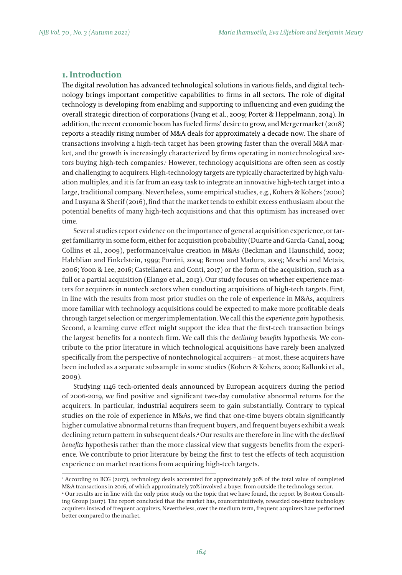## **1. Introduction**

The digital revolution has advanced technological solutions in various fields, and digital technology brings important competitive capabilities to firms in all sectors. The role of digital technology is developing from enabling and supporting to influencing and even guiding the overall strategic direction of corporations (Ivang et al., 2009; Porter & Heppelmann, 2014). In addition, the recent economic boom has fueled firms' desire to grow, and Mergermarket (2018) reports a steadily rising number of M&A deals for approximately a decade now. The share of transactions involving a high-tech target has been growing faster than the overall M&A market, and the growth is increasingly characterized by firms operating in nontechnological sectors buying high-tech companies.<del>'</del> However, technology acquisitions are often seen as costly and challenging to acquirers. High-technology targets are typically characterized by high valuation multiples, and it is far from an easy task to integrate an innovative high-tech target into a large, traditional company. Nevertheless, some empirical studies, e.g., Kohers & Kohers (2000) and Lusyana & Sherif (2016), find that the market tends to exhibit excess enthusiasm about the potential benefits of many high-tech acquisitions and that this optimism has increased over time.

Several studies report evidence on the importance of general acquisition experience, or target familiarity in some form, either for acquisition probability (Duarte and García-Canal, 2004; Collins et al., 2009), performance/value creation in M&As (Beckman and Haunschild, 2002; Haleblian and Finkelstein, 1999; Porrini, 2004; Benou and Madura, 2005; Meschi and Metais, 2006; Yoon & Lee, 2016; Castellaneta and Conti, 2017) or the form of the acquisition, such as a full or a partial acquisition (Elango et al., 2013). Our study focuses on whether experience matters for acquirers in nontech sectors when conducting acquisitions of high-tech targets. First, in line with the results from most prior studies on the role of experience in M&As, acquirers more familiar with technology acquisitions could be expected to make more profitable deals through target selection or merger implementation. We call this the *experience gain* hypothesis. Second, a learning curve effect might support the idea that the first-tech transaction brings the largest benefits for a nontech firm. We call this the *declining benefits* hypothesis. We contribute to the prior literature in which technological acquisitions have rarely been analyzed specifically from the perspective of nontechnological acquirers – at most, these acquirers have been included as a separate subsample in some studies (Kohers & Kohers, 2000; Kallunki et al., 2009).

Studying 1146 tech-oriented deals announced by European acquirers during the period of 2006-2019, we find positive and significant two-day cumulative abnormal returns for the acquirers. In particular, industrial acquirers seem to gain substantially. Contrary to typical studies on the role of experience in M&As, we find that one-time buyers obtain significantly higher cumulative abnormal returns than frequent buyers, and frequent buyers exhibit a weak declining return pattern in subsequent deals.<sup>2</sup> Our results are therefore in line with the *declined benefits* hypothesis rather than the more classical view that suggests benefits from the experience. We contribute to prior literature by being the first to test the effects of tech acquisition experience on market reactions from acquiring high-tech targets.

<sup>1</sup> According to BCG (2017), technology deals accounted for approximately 30% of the total value of completed M&A transactions in 2016, of which approximately 70% involved a buyer from outside the technology sector.

<sup>2</sup> Our results are in line with the only prior study on the topic that we have found, the report by Boston Consulting Group (2017). The report concluded that the market has, counterintuitively, rewarded one-time technology acquirers instead of frequent acquirers. Nevertheless, over the medium term, frequent acquirers have performed better compared to the market.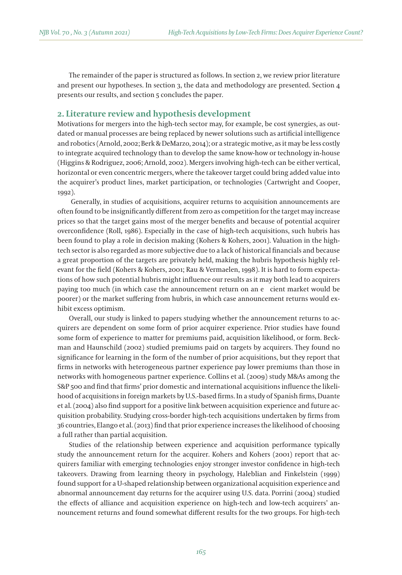The remainder of the paper is structured as follows. In section 2, we review prior literature and present our hypotheses. In section 3, the data and methodology are presented. Section 4 presents our results, and section 5 concludes the paper.

## **2. Literature review and hypothesis development**

Motivations for mergers into the high-tech sector may, for example, be cost synergies, as outdated or manual processes are being replaced by newer solutions such as artificial intelligence and robotics (Arnold, 2002; Berk & DeMarzo, 2014); or a strategic motive, as it may be less costly to integrate acquired technology than to develop the same know-how or technology in-house (Higgins & Rodriguez, 2006; Arnold, 2002). Mergers involving high-tech can be either vertical, horizontal or even concentric mergers, where the takeover target could bring added value into the acquirer's product lines, market participation, or technologies (Cartwright and Cooper, 1992).

 Generally, in studies of acquisitions, acquirer returns to acquisition announcements are often found to be insignificantly different from zero as competition for the target may increase prices so that the target gains most of the merger benefits and because of potential acquirer overconfidence (Roll, 1986). Especially in the case of high-tech acquisitions, such hubris has been found to play a role in decision making (Kohers & Kohers, 2001). Valuation in the hightech sector is also regarded as more subjective due to a lack of historical financials and because a great proportion of the targets are privately held, making the hubris hypothesis highly relevant for the field (Kohers & Kohers, 2001; Rau & Vermaelen, 1998). It is hard to form expectations of how such potential hubris might influence our results as it may both lead to acquirers paying too much (in which case the announcement return on an e cient market would be poorer) or the market suffering from hubris, in which case announcement returns would exhibit excess optimism.

Overall, our study is linked to papers studying whether the announcement returns to acquirers are dependent on some form of prior acquirer experience. Prior studies have found some form of experience to matter for premiums paid, acquisition likelihood, or form. Beckman and Haunschild (2002) studied premiums paid on targets by acquirers. They found no significance for learning in the form of the number of prior acquisitions, but they report that firms in networks with heterogeneous partner experience pay lower premiums than those in networks with homogeneous partner experience. Collins et al. (2009) study M&As among the S&P 500 and find that firms' prior domestic and international acquisitions influence the likelihood of acquisitions in foreign markets by U.S.-based firms. In a study of Spanish firms, Duante et al. (2004) also find support for a positive link between acquisition experience and future acquisition probability. Studying cross-border high-tech acquisitions undertaken by firms from 36 countries, Elango et al. (2013) find that prior experience increases the likelihood of choosing a full rather than partial acquisition.

Studies of the relationship between experience and acquisition performance typically study the announcement return for the acquirer. Kohers and Kohers (2001) report that acquirers familiar with emerging technologies enjoy stronger investor confidence in high-tech takeovers. Drawing from learning theory in psychology, Haleblian and Finkelstein (1999) found support for a U-shaped relationship between organizational acquisition experience and abnormal announcement day returns for the acquirer using U.S. data. Porrini (2004) studied the effects of alliance and acquisition experience on high-tech and low-tech acquirers' announcement returns and found somewhat different results for the two groups. For high-tech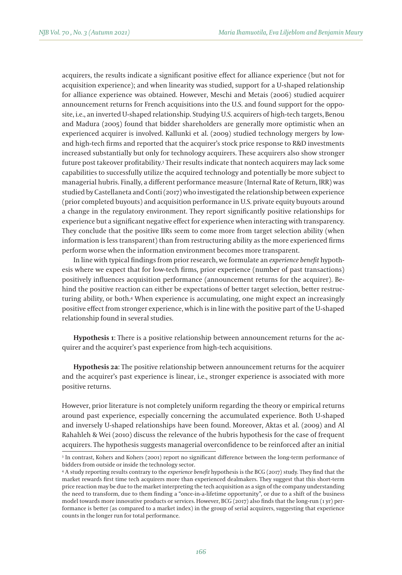acquirers, the results indicate a significant positive effect for alliance experience (but not for acquisition experience); and when linearity was studied, support for a U-shaped relationship for alliance experience was obtained. However, Meschi and Metais (2006) studied acquirer announcement returns for French acquisitions into the U.S. and found support for the opposite, i.e., an inverted U-shaped relationship. Studying U.S. acquirers of high-tech targets, Benou and Madura (2005) found that bidder shareholders are generally more optimistic when an experienced acquirer is involved. Kallunki et al. (2009) studied technology mergers by lowand high-tech firms and reported that the acquirer's stock price response to R&D investments increased substantially but only for technology acquirers. These acquirers also show stronger future post takeover profitability.3 Their results indicate that nontech acquirers may lack some capabilities to successfully utilize the acquired technology and potentially be more subject to managerial hubris. Finally, a different performance measure (Internal Rate of Return, IRR) was studied by Castellaneta and Conti (2017) who investigated the relationship between experience (prior completed buyouts) and acquisition performance in U.S. private equity buyouts around a change in the regulatory environment. They report significantly positive relationships for experience but a significant negative effect for experience when interacting with transparency. They conclude that the positive IIRs seem to come more from target selection ability (when information is less transparent) than from restructuring ability as the more experienced firms perform worse when the information environment becomes more transparent.

In line with typical findings from prior research, we formulate an *experience benefit* hypothesis where we expect that for low-tech firms, prior experience (number of past transactions) positively influences acquisition performance (announcement returns for the acquirer). Behind the positive reaction can either be expectations of better target selection, better restructuring ability, or both.4 When experience is accumulating, one might expect an increasingly positive effect from stronger experience, which is in line with the positive part of the U-shaped relationship found in several studies.

**Hypothesis 1**: There is a positive relationship between announcement returns for the acquirer and the acquirer's past experience from high-tech acquisitions.

**Hypothesis 2a**: The positive relationship between announcement returns for the acquirer and the acquirer's past experience is linear, i.e., stronger experience is associated with more positive returns.

However, prior literature is not completely uniform regarding the theory or empirical returns around past experience, especially concerning the accumulated experience. Both U-shaped and inversely U-shaped relationships have been found. Moreover, Aktas et al. (2009) and Al Rahahleh & Wei (2010) discuss the relevance of the hubris hypothesis for the case of frequent acquirers. The hypothesis suggests managerial overconfidence to be reinforced after an initial

<sup>3</sup> In contrast, Kohers and Kohers (2001) report no significant difference between the long-term performance of bidders from outside or inside the technology sector.

<sup>4</sup> A study reporting results contrary to the *experience benefit* hypothesis is the BCG (2017) study. They find that the market rewards first time tech acquirers more than experienced dealmakers. They suggest that this short-term price reaction may be due to the market interpreting the tech acquisition as a sign of the company understanding the need to transform, due to them finding a "once-in-a-lifetime opportunity", or due to a shift of the business model towards more innovative products or services. However, BCG (2017) also finds that the long-run (1 yr) performance is better (as compared to a market index) in the group of serial acquirers, suggesting that experience counts in the longer run for total performance.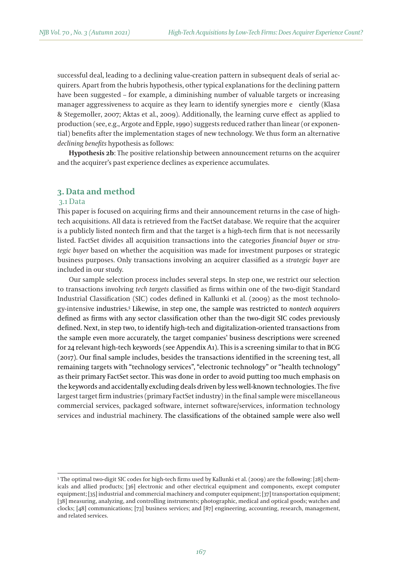successful deal, leading to a declining value-creation pattern in subsequent deals of serial acquirers. Apart from the hubris hypothesis, other typical explanations for the declining pattern have been suggested – for example, a diminishing number of valuable targets or increasing manager aggressiveness to acquire as they learn to identify synergies more e ciently (Klasa & Stegemoller, 2007; Aktas et al., 2009). Additionally, the learning curve effect as applied to production (see, e.g., Argote and Epple, 1990) suggests reduced rather than linear (or exponential) benefits after the implementation stages of new technology. We thus form an alternative *declining benefits* hypothesis as follows:

**Hypothesis 2b**: The positive relationship between announcement returns on the acquirer and the acquirer's past experience declines as experience accumulates.

## **3. Data and method**

#### 3.1 Data

This paper is focused on acquiring firms and their announcement returns in the case of hightech acquisitions. All data is retrieved from the FactSet database. We require that the acquirer is a publicly listed nontech firm and that the target is a high-tech firm that is not necessarily listed. FactSet divides all acquisition transactions into the categories *financial buyer* or *strategic buyer* based on whether the acquisition was made for investment purposes or strategic business purposes. Only transactions involving an acquirer classified as a *strategic buyer* are included in our study.

Our sample selection process includes several steps. In step one, we restrict our selection to transactions involving *tech targets* classified as firms within one of the two-digit Standard Industrial Classification (SIC) codes defined in Kallunki et al. (2009) as the most technology-intensive industries.5 Likewise, in step one, the sample was restricted to *nontech acquirers* defined as firms with any sector classification other than the two-digit SIC codes previously defined. Next, in step two, to identify high-tech and digitalization-oriented transactions from the sample even more accurately, the target companies' business descriptions were screened for 24 relevant high-tech keywords (see Appendix A1). This is a screening similar to that in BCG (2017). Our final sample includes, besides the transactions identified in the screening test, all remaining targets with "technology services", "electronic technology" or "health technology" as their primary FactSet sector. This was done in order to avoid putting too much emphasis on the keywords and accidentally excluding deals driven by less well-known technologies. The five largest target firm industries (primary FactSet industry) in the final sample were miscellaneous commercial services, packaged software, internet software/services, information technology services and industrial machinery. The classifications of the obtained sample were also well

<sup>5</sup> The optimal two-digit SIC codes for high-tech firms used by Kallunki et al. (2009) are the following: [28] chemicals and allied products; [36] electronic and other electrical equipment and components, except computer equipment; [35] industrial and commercial machinery and computer equipment; [37] transportation equipment; [38] measuring, analyzing, and controlling instruments; photographic, medical and optical goods; watches and clocks; [48] communications; [73] business services; and [87] engineering, accounting, research, management, and related services.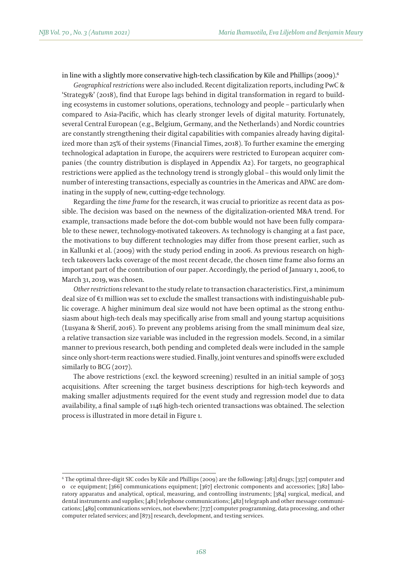in line with a slightly more conservative high-tech classification by Kile and Phillips (2009).<sup>6</sup>

*Geographical restrictions* were also included. Recent digitalization reports, including PwC & 'Strategy&' (2018), find that Europe lags behind in digital transformation in regard to building ecosystems in customer solutions, operations, technology and people – particularly when compared to Asia-Pacific, which has clearly stronger levels of digital maturity. Fortunately, several Central European (e.g., Belgium, Germany, and the Netherlands) and Nordic countries are constantly strengthening their digital capabilities with companies already having digitalized more than 25% of their systems (Financial Times, 2018). To further examine the emerging technological adaptation in Europe, the acquirers were restricted to European acquirer companies (the country distribution is displayed in Appendix A2). For targets, no geographical restrictions were applied as the technology trend is strongly global – this would only limit the number of interesting transactions, especially as countries in the Americas and APAC are dominating in the supply of new, cutting-edge technology.

Regarding the *time frame* for the research, it was crucial to prioritize as recent data as possible. The decision was based on the newness of the digitalization-oriented M&A trend. For example, transactions made before the dot-com bubble would not have been fully comparable to these newer, technology-motivated takeovers. As technology is changing at a fast pace, the motivations to buy different technologies may differ from those present earlier, such as in Kallunki et al. (2009) with the study period ending in 2006. As previous research on hightech takeovers lacks coverage of the most recent decade, the chosen time frame also forms an important part of the contribution of our paper. Accordingly, the period of January 1, 2006, to March 31, 2019, was chosen.

*Other restrictions* relevant to the study relate to transaction characteristics. First, a minimum deal size of €1 million was set to exclude the smallest transactions with indistinguishable public coverage. A higher minimum deal size would not have been optimal as the strong enthusiasm about high-tech deals may specifically arise from small and young startup acquisitions (Lusyana & Sherif, 2016). To prevent any problems arising from the small minimum deal size, a relative transaction size variable was included in the regression models. Second, in a similar manner to previous research, both pending and completed deals were included in the sample since only short-term reactions were studied. Finally, joint ventures and spinoffs were excluded similarly to BCG (2017).

The above restrictions (excl. the keyword screening) resulted in an initial sample of 3053 acquisitions. After screening the target business descriptions for high-tech keywords and making smaller adjustments required for the event study and regression model due to data availability, a final sample of 1146 high-tech oriented transactions was obtained. The selection process is illustrated in more detail in Figure 1.

<sup>6</sup> The optimal three-digit SIC codes by Kile and Phillips (2009) are the following: [283] drugs; [357] computer and oce equipment; [366] communications equipment; [367] electronic components and accessories; [382] laboratory apparatus and analytical, optical, measuring, and controlling instruments; [384] surgical, medical, and dental instruments and supplies; [481] telephone communications; [482] telegraph and other message communications; [489] communications services, not elsewhere; [737] computer programming, data processing, and other computer related services; and [873] research, development, and testing services.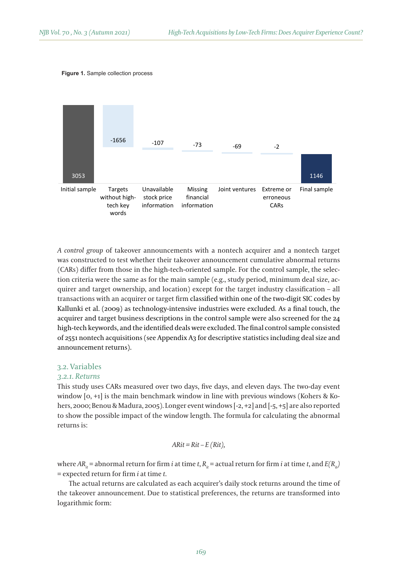Figure 1. Sample collection process **Figure 1.** Sample collection process



*A control group* of takeover announcements with a nontech acquirer and a nontech target was constructed to test whether their takeover announcement cumulative abnormal returns (CARs) differ from those in the high-tech-oriented sample. For the control sample, the selection criteria were the same as for the main sample (e.g., study period, minimum deal size, acquirer and target ownership, and location) except for the target industry classification – all transactions with an acquirer or target firm classified within one of the two-digit SIC codes by Kallunki et al. (2009) as technology-intensive industries were excluded. As a final touch, the acquirer and target business descriptions in the control sample were also screened for the 24 high-tech keywords, and the identified deals were excluded. The final control sample consisted of 2551 nontech acquisitions (see Appendix A3 for descriptive statistics including deal size and announcement returns).

#### 3.2. Variables

#### *3.2.1. Returns*

This study uses CARs measured over two days, five days, and eleven days. The two-day event window [0, +1] is the main benchmark window in line with previous windows (Kohers & Kohers, 2000; Benou & Madura, 2005). Longer event windows [-2, +2] and [-5, +5] are also reported to show the possible impact of the window length. The formula for calculating the abnormal returns is:

$$
ARit = Rit - E(Rit),
$$

where  $AR_{ii}$  = abnormal return for firm *i* at time *t*,  $R_{ii}$  = actual return for firm *i* at time *t*, and  $E(R_{ii})$ = expected return for firm *i* at time *t*.

The actual returns are calculated as each acquirer's daily stock returns around the time of the takeover announcement. Due to statistical preferences, the returns are transformed into logarithmic form: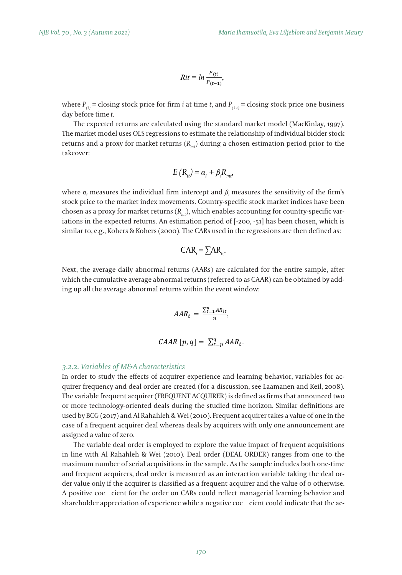$$
Rit = ln \frac{P_{(t)}}{P_{(t-1)}},
$$

where  $P_{_{(t)}}$  = closing stock price for firm *i* at time *t*, and  $P_{_{(t\text{-}t)}}$  = closing stock price one business day before time *t*.

The expected returns are calculated using the standard market model (MacKinlay, 1997). The market model uses OLS regressions to estimate the relationship of individual bidder stock returns and a proxy for market returns ( $R_{mt}$ ) during a chosen estimation period prior to the takeover: takeover: returns and a provisor market returns.  $(P_{\alpha})$  during a chosen estimation period prior to the  $\frac{1}{2}$  is similar to, e.g.,  $\frac{1}{2}$  is the case of  $\frac{1}{2}$  in the regressions are gressions are gressions are gressions are gressions are gressions are gressions are gressions are gressions are gressions are gressi

$$
E(R_{i\ell}) = \alpha_i + \beta_i R_{m\ell'}
$$

where  $\alpha_{i}$  measures the individual firm intercept and  $\beta_{i}$  measures the sensitivity of the firm's stock price to the market index movements. Country-specific stock market indices have been chosen as a proxy for market returns  $(R<sub>mt</sub>)$ , which enables accounting for country-specific variations in the expected returns. An estimation period of [-200, -51] has been chosen, which is similar to, e.g., Kohers & Kohers (2000). The CARs used in the regressions are then defined as: stock returns and a proxy for market returns (*Rmt*) during a chosen estimation period prior to

$$
CAR_i = \sum AR_{it}.
$$

Next, the average daily abnormal returns (AARs) are calculated for the entire sample, after which the cumulative average abnormal returns (referred to as CAAR) can be obtained by adding up all the average abnormal returns within the event window:

$$
AAR_t = \frac{\sum_{t=1}^{n} AR_{it}}{n},
$$
  

$$
CAAR [p, q] = \sum_{t=p}^{q} AAR_t.
$$

## *3.2.2. Variables of M&A characteristics*

In order to study the effects of acquirer experience and learning behavior, variables for acquirer frequency and deal order are created (for a discussion, see Laamanen and Keil, 2008). The variable frequent acquirer (FREQUENT ACQUIRER) is defined as firms that announced two or more technology-oriented deals during the studied time horizon. Similar definitions are used by BCG (2017) and Al Rahahleh & Wei (2010). Frequent acquirer takes a value of one in the  $\frac{1}{2}$ case of a frequent acquirer deal whereas deals by acquirers with only one announcement are assigned a value of zero.

The variable deal order is employed to explore the value impact of frequent acquisitions in line with Al Rahahleh & Wei (2010). Deal order (DEAL ORDER) ranges from one to the maximum number of serial acquisitions in the sample. As the sample includes both one-time and frequent acquirers, deal order is measured as an interaction variable taking the deal order value only if the acquirer is classified as a frequent acquirer and the value of 0 otherwise. are value only in the dequater is easistica as a requesti dequater and the value of 9 states are used by BCG (2017) and Al Rahahleh & BCG (2017). A positive coefficient for the order on CARs could reflect managerial learni shareholder appreciation of experience while a negative coe $\; \;$  cient could indicate that the ac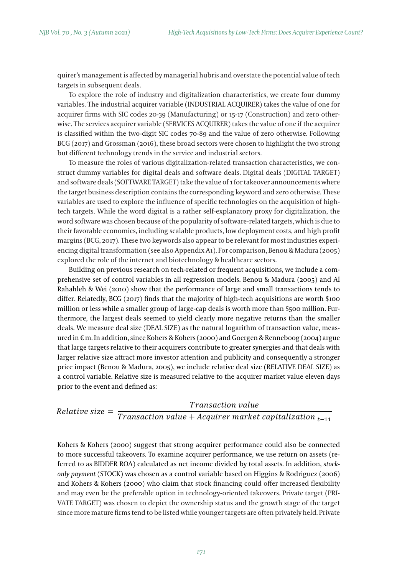quirer's management is affected by managerial hubris and overstate the potential value of tech targets in subsequent deals.

To explore the role of industry and digitalization characteristics, we create four dummy variables. The industrial acquirer variable (INDUSTRIAL ACQUIRER) takes the value of one for acquirer firms with SIC codes 20-39 (Manufacturing) or 15-17 (Construction) and zero otherwise. The services acquirer variable (SERVICES ACQUIRER) takes the value of one if the acquirer  $\sim$ is classified within the two-digit SIC codes 70-89 and the value of zero otherwise. Following BCG (2017) and Grossman (2016), these broad sectors were chosen to highlight the two strong<br>. but different technology trends in the service and industrial sectors.

To measure the roles of various digitalization-related transaction characteristics, we construct dummy variables for digital deals and software deals. Digital deals (DIGITAL TARGET) and software deals (SOFTWARE TARGET) take the value of 1 for takeover announcements where  $\epsilon$ the target business description contains the corresponding keyword and zero otherwise. These variables are used to explore the influence of specific technologies on the acquisition of hightech targets. While the word digital is a rather self-explanatory proxy for digitalization, the word software was chosen because of the popularity of software-related targets, which is due to their favorable economics, including scalable products, low deployment costs, and high profit margins (BCG, 2017). These two keywords also appear to be relevant for most industries experiencing digital transformation (see also Appendix A1). For comparison, Benou & Madura (2005) explored the role of the internet and biotechnology & healthcare sectors.

Building on previous research on tech-related or frequent acquisitions, we include a comprehensive set of control variables in all regression models. Benou & Madura (2005) and Al Rahahleh & Wei (2010) show that the performance of large and small transactions tends to differ. Relatedly, BCG (2017) finds that the majority of high-tech acquisitions are worth \$100 million or less while a smaller group of large-cap deals is worth more than \$500 million. Furthermore, the largest deals seemed to yield clearly more negative returns than the smaller deals. We measure deal size (DEAL SIZE) as the natural logarithm of transaction value, measured in € m. In addition, since Kohers & Kohers (2000) and Goergen & Renneboog (2004) argue that large targets relative to their acquirers contribute to greater synergies and that deals with larger relative size attract more investor attention and publicity and consequently a stronger price impact (Benou & Madura, 2005), we include relative deal size (RELATIVE DEAL SIZE) as a control variable. Relative size is measured relative to the acquirer market value eleven days prior to the event and defined as:

Transaction value  $Relative size =$  $\overline{T}$  ransaction value + Acquirer market capitalization  $_{t-11}$ 

Kohers & Kohers (2000) suggest that strong acquirer performance could also be connected to more successful takeovers. To examine acquirer performance, we use return on assets (referred to as BIDDER ROA) calculated as net income divided by total assets. In addition, s*tock-*14 *only payment* (STOCK) was chosen as a control variable based on Higgins & Rodriguez (2006) and Kohers & Kohers (2000) who claim that stock financing could offer increased flexibility and may even be the preferable option in technology-oriented takeovers. Private target (PRI-VATE TARGET) was chosen to depict the ownership status and the growth stage of the target since more mature firms tend to be listed while younger targets are often privately held. Private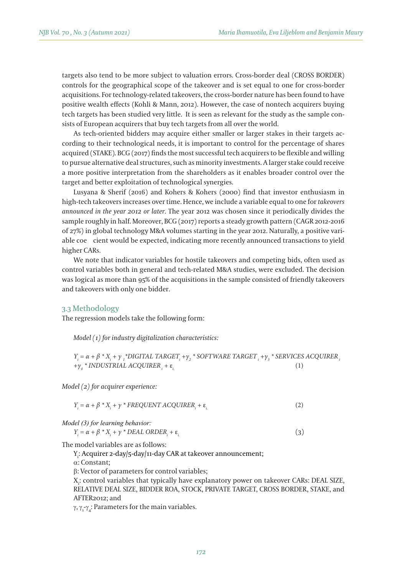targets also tend to be more subject to valuation errors. Cross-border deal (CROSS BORDER) controls for the geographical scope of the takeover and is set equal to one for cross-border acquisitions. For technology-related takeovers, the cross-border nature has been found to have positive wealth effects (Kohli & Mann, 2012). However, the case of nontech acquirers buying tech targets has been studied very little. It is seen as relevant for the study as the sample consists of European acquirers that buy tech targets from all over the world.

As tech-oriented bidders may acquire either smaller or larger stakes in their targets according to their technological needs, it is important to control for the percentage of shares acquired (STAKE)*.* BCG (2017) finds the most successful tech acquirers to be flexible and willing to pursue alternative deal structures, such as minority investments. A larger stake could receive a more positive interpretation from the shareholders as it enables broader control over the target and better exploitation of technological synergies.

Lusyana & Sherif (2016) and Kohers & Kohers (2000) find that investor enthusiasm in high-tech takeovers increases over time. Hence, we include a variable equal to one for *takeovers announced in the year 2012 or later*. The year 2012 was chosen since it periodically divides the sample roughly in half. Moreover, BCG (2017) reports a steady growth pattern (CAGR 2012-2016 of 27%) in global technology M&A volumes starting in the year 2012. Naturally, a positive variable coecient would be expected, indicating more recently announced transactions to yield higher CARs.

We note that indicator variables for hostile takeovers and competing bids, often used as control variables both in general and tech-related M&A studies, were excluded. The decision was logical as more than 95% of the acquisitions in the sample consisted of friendly takeovers and takeovers with only one bidder.

### 3.3 Methodology

The regression models take the following form:

*Model (1) for industry digitalization characteristics:*

 $Y_i = \alpha + \beta * X_i + \gamma_i * DIGITAL\ TARGE \text{ }T \text{ } \text{ }T \text{ }T \text{ }T \text{ }Y_2 * SOPT\ \text{ }Y \text{ }T \text{ }R \text{ }GET_i + \gamma_i * SERVICES\ \text{ }A CQUIRER_i$ *+*γ*<sup>4</sup> \* INDUSTRIAL ACQUIRERi +* ε*i.* (1)

*Model (2) for acquirer experience:*

$$
Y_i = \alpha + \beta * X_i + \gamma * FREQUENT ACCQUIRER_i + \varepsilon_i
$$
 (2)

*Model (3) for learning behavior:*

$$
Y_i = \alpha + \beta * X_i + \gamma * DEAL \text{ ORDER}_i + \varepsilon_i
$$
\n<sup>(3)</sup>

The model variables are as follows:

Y<sub>i</sub>: Acquirer 2-day/5-day/11-day CAR at takeover announcement;

 $\alpha$ : Constant;

β: Vector of parameters for control variables;

X<sub>i</sub>: control variables that typically have explanatory power on takeover CARs: DEAL SIZE, RELATIVE DEAL SIZE, BIDDER ROA, STOCK, PRIVATE TARGET, CROSS BORDER, STAKE, and AFTER2012; and

 $\gamma$ ,  $\gamma$ <sub>1</sub>- $\gamma$ <sub>4</sub>: Parameters for the main variables.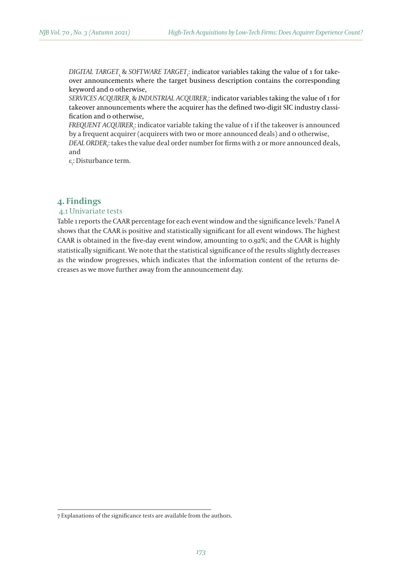*DIGITAL TARGET*i, & *SOFTWARE TARGET*<sup>i</sup> : indicator variables taking the value of 1 for takeover announcements where the target business description contains the corresponding keyword and 0 otherwise,

*SERVICES ACQUIRER*i, & *INDUSTRIAL ACQUIRER*<sup>i</sup> : indicator variables taking the value of 1 for takeover announcements where the acquirer has the defined two-digit SIC industry classification and 0 otherwise,

*FREQUENT ACQUIRER*<sup>i</sup> : indicator variable taking the value of 1 if the takeover is announced by a frequent acquirer (acquirers with two or more announced deals) and 0 otherwise,

*DEAL ORDER*<sup>i</sup> : takes the value deal order number for firms with 2 or more announced deals, and

 $\epsilon_{\vec{i}}$ : Disturbance term.

## **4. Findings**

## 4.1 Univariate tests

Table 1 reports the CAAR percentage for each event window and the significance levels.7 Panel A shows that the CAAR is positive and statistically significant for all event windows. The highest CAAR is obtained in the five-day event window, amounting to 0.92%; and the CAAR is highly statistically significant. We note that the statistical significance of the results slightly decreases as the window progresses, which indicates that the information content of the returns decreases as we move further away from the announcement day.

<sup>7</sup> Explanations of the significance tests are available from the authors.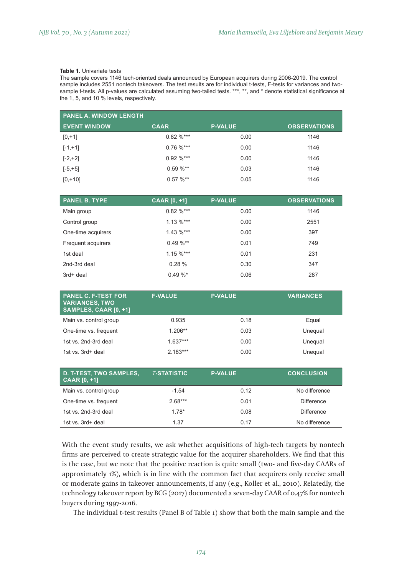#### **Table 1.** Univariate tests

The sample covers 1146 tech-oriented deals announced by European acquirers during 2006-2019. The control sample includes 2551 nontech takeovers. The test results are for individual t-tests, F-tests for variances and twosample t-tests. All p-values are calculated assuming two-tailed tests. \*\*\*, \*\*, and \* denote statistical significance at the 1, 5, and 10 % levels, respectively.

| <b>PANEL A. WINDOW LENGTH</b> |               |                |                     |  |  |
|-------------------------------|---------------|----------------|---------------------|--|--|
| <b>EVENT WINDOW</b>           | <b>CAAR</b>   | <b>P-VALUE</b> | <b>OBSERVATIONS</b> |  |  |
| $[0, +1]$                     | $0.82 \%$ *** | 0.00           | 1146                |  |  |
| $[-1,+1]$                     | $0.76 \%$ *** | 0.00           | 1146                |  |  |
| $[-2,+2]$                     | $0.92 \%$ *** | 0.00           | 1146                |  |  |
| $[-5, +5]$                    | $0.59 \%$ **  | 0.03           | 1146                |  |  |
| $[0, +10]$                    | $0.57 \%$ **  | 0.05           | 1146                |  |  |

| <b>PANEL B. TYPE</b> | <b>CAAR [0, +1]</b> | <b>P-VALUE</b> | <b>OBSERVATIONS</b> |
|----------------------|---------------------|----------------|---------------------|
| Main group           | $0.82 \%$ ***       | 0.00           | 1146                |
| Control group        | $1.13 \%$ ***       | 0.00           | 2551                |
| One-time acquirers   | $1.43 \%$ ***       | 0.00           | 397                 |
| Frequent acquirers   | $0.49 \%$ **        | 0.01           | 749                 |
| 1st deal             | $1.15 \%$ ***       | 0.01           | 231                 |
| 2nd-3rd deal         | 0.28%               | 0.30           | 347                 |
| 3rd+ deal            | $0.49 \%$           | 0.06           | 287                 |

| <b>PANEL C. F-TEST FOR</b><br><b>VARIANCES, TWO</b><br>SAMPLES, CAAR [0, +1] | <b>F-VALUE</b> | <b>P-VALUE</b> | <b>VARIANCES</b> |
|------------------------------------------------------------------------------|----------------|----------------|------------------|
| Main vs. control group                                                       | 0.935          | 0.18           | Equal            |
| One-time vs. frequent                                                        | $1.206**$      | 0.03           | Unequal          |
| 1st vs. 2nd-3rd deal                                                         | $1.637***$     | 0.00           | Unequal          |
| 1st vs. 3rd+ deal                                                            | $2.183***$     | 0.00           | Unequal          |

| <b>D. T-TEST, TWO SAMPLES,</b><br>$CAAR [0, +1]$ | <b>T-STATISTIC</b> | <b>P-VALUE</b> | <b>CONCLUSION</b> |
|--------------------------------------------------|--------------------|----------------|-------------------|
| Main vs. control group                           | $-1.54$            | 0.12           | No difference     |
| One-time vs. frequent                            | $2.68***$          | 0.01           | Difference        |
| 1st vs. 2nd-3rd deal                             | $1.78*$            | 0.08           | <b>Difference</b> |
| 1st vs. 3rd+ deal                                | 1.37               | 0.17           | No difference     |

With the event study results, we ask whether acquisitions of high-tech targets by nontech firms are perceived to create strategic value for the acquirer shareholders. We find that this is the case, but we note that the positive reaction is quite small (two- and five-day CAARs of approximately 1%), which is in line with the common fact that acquirers only receive small or moderate gains in takeover announcements, if any (e.g., Koller et al., 2010). Relatedly, the technology takeover report by BCG (2017) documented a seven-day CAAR of 0.47% for nontech buyers during 1997-2016.

The individual t-test results (Panel B of Table 1) show that both the main sample and the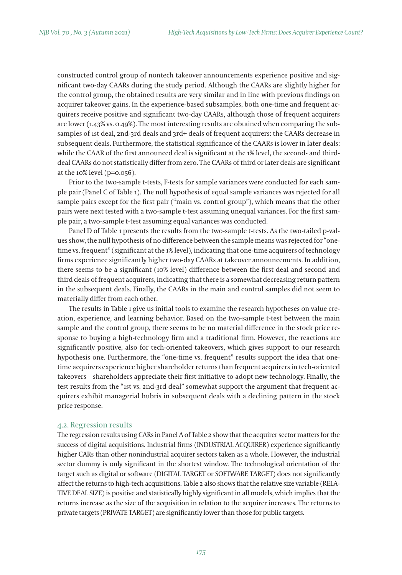constructed control group of nontech takeover announcements experience positive and significant two-day CAARs during the study period. Although the CAARs are slightly higher for the control group, the obtained results are very similar and in line with previous findings on acquirer takeover gains. In the experience-based subsamples, both one-time and frequent acquirers receive positive and significant two-day CAARs, although those of frequent acquirers are lower (1.43% vs. 0.49%). The most interesting results are obtained when comparing the subsamples of 1st deal, 2nd-3rd deals and 3rd+ deals of frequent acquirers: the CAARs decrease in subsequent deals. Furthermore, the statistical significance of the CAARs is lower in later deals: while the CAAR of the first announced deal is significant at the 1% level, the second- and thirddeal CAARs do not statistically differ from zero. The CAARs of third or later deals are significant at the 10% level (p=0.056).

Prior to the two-sample t-tests, F-tests for sample variances were conducted for each sample pair (Panel C of Table 1). The null hypothesis of equal sample variances was rejected for all sample pairs except for the first pair ("main vs. control group"), which means that the other pairs were next tested with a two-sample t-test assuming unequal variances. For the first sample pair, a two-sample t-test assuming equal variances was conducted.

Panel D of Table 1 presents the results from the two-sample t-tests. As the two-tailed p-values show, the null hypothesis of no difference between the sample means was rejected for "onetime vs. frequent" (significant at the 1% level), indicating that one-time acquirers of technology firms experience significantly higher two-day CAARs at takeover announcements. In addition, there seems to be a significant (10% level) difference between the first deal and second and third deals of frequent acquirers, indicating that there is a somewhat decreasing return pattern in the subsequent deals. Finally, the CAARs in the main and control samples did not seem to materially differ from each other.

The results in Table 1 give us initial tools to examine the research hypotheses on value creation, experience, and learning behavior. Based on the two-sample t-test between the main sample and the control group, there seems to be no material difference in the stock price response to buying a high-technology firm and a traditional firm. However, the reactions are significantly positive, also for tech-oriented takeovers, which gives support to our research hypothesis one. Furthermore, the "one-time vs. frequent" results support the idea that onetime acquirers experience higher shareholder returns than frequent acquirers in tech-oriented takeovers – shareholders appreciate their first initiative to adopt new technology. Finally, the test results from the "1st vs. 2nd-3rd deal" somewhat support the argument that frequent acquirers exhibit managerial hubris in subsequent deals with a declining pattern in the stock price response.

#### 4.2. Regression results

The regression results using CARs in Panel A of Table 2 show that the acquirer sector matters for the success of digital acquisitions. Industrial firms (INDUSTRIAL ACQUIRER) experience significantly higher CARs than other nonindustrial acquirer sectors taken as a whole. However, the industrial sector dummy is only significant in the shortest window. The technological orientation of the target such as digital or software (DIGITAL TARGET or SOFTWARE TARGET) does not significantly affect the returns to high-tech acquisitions. Table 2 also shows that the relative size variable (RELA-TIVE DEAL SIZE) is positive and statistically highly significant in all models, which implies that the returns increase as the size of the acquisition in relation to the acquirer increases. The returns to private targets (PRIVATE TARGET) are significantly lower than those for public targets.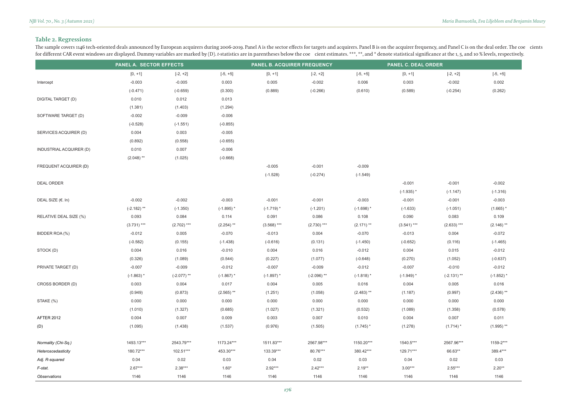# **Table 2. Regressions**

The sample covers 1146 tech-oriented deals announced by European acquirers during 2006-2019. Panel A is the sector effects for targets and acquirers. Panel B is on the acquirer frequency, and Panel C is on the deal order. for different CAR event windows are displayed. Dummy variables are marked by (D). t-statistics are in parentheses below the coe cient estimates. \*\*\*, \*\*, and \* denote statistical significance at the 1, 5, and 10 % levels,

|                             | <b>PANEL A. SECTOR EFFECTS</b> |               | <b>PANEL B. ACQUIRER FREQUENCY</b> |               | <b>PANEL C. DEAL ORDER</b> |              |               |               |              |
|-----------------------------|--------------------------------|---------------|------------------------------------|---------------|----------------------------|--------------|---------------|---------------|--------------|
|                             | $[0, +1]$                      | $[-2, +2]$    | $[-5, +5]$                         | $[0, +1]$     | $[-2, +2]$                 | $[-5, +5]$   | $[0, +1]$     | $[-2, +2]$    | $[-5, +5]$   |
| Intercept                   | $-0.003$                       | $-0.005$      | 0.003                              | 0.005         | $-0.002$                   | 0.006        | 0.003         | $-0.002$      | 0.002        |
|                             | $(-0.471)$                     | $(-0.659)$    | (0.300)                            | (0.889)       | $(-0.266)$                 | (0.610)      | (0.589)       | $(-0.254)$    | (0.262)      |
| DIGITAL TARGET (D)          | 0.010                          | 0.012         | 0.013                              |               |                            |              |               |               |              |
|                             | (1.381)                        | (1.403)       | (1.294)                            |               |                            |              |               |               |              |
| SOFTWARE TARGET (D)         | $-0.002$                       | $-0.009$      | $-0.006$                           |               |                            |              |               |               |              |
|                             | $(-0.528)$                     | $(-1.551)$    | $(-0.855)$                         |               |                            |              |               |               |              |
| SERVICES ACQUIRER (D)       | 0.004                          | 0.003         | $-0.005$                           |               |                            |              |               |               |              |
|                             | (0.892)                        | (0.558)       | $(-0.655)$                         |               |                            |              |               |               |              |
| INDUSTRIAL ACQUIRER (D)     | 0.010                          | 0.007         | $-0.006$                           |               |                            |              |               |               |              |
|                             | $(2.048)$ **                   | (1.025)       | $(-0.668)$                         |               |                            |              |               |               |              |
| FREQUENT ACQUIRER (D)       |                                |               |                                    | $-0.005$      | $-0.001$                   | $-0.009$     |               |               |              |
|                             |                                |               |                                    | $(-1.528)$    | $(-0.274)$                 | $(-1.549)$   |               |               |              |
| <b>DEAL ORDER</b>           |                                |               |                                    |               |                            |              | $-0.001$      | $-0.001$      | $-0.002$     |
|                             |                                |               |                                    |               |                            |              | $(-1.935)$ *  | $(-1.147)$    | $(-1.316)$   |
| DEAL SIZE $(\epsilon$ . In) | $-0.002$                       | $-0.002$      | $-0.003$                           | $-0.001$      | $-0.001$                   | $-0.003$     | $-0.001$      | $-0.001$      | $-0.003$     |
|                             | $(-2.182)$ **                  | $(-1.350)$    | $(-1.895)$ *                       | $(-1.719)$ *  | $(-1.201)$                 | $(-1.698)$ * | $(-1.633)$    | $(-1.051)$    | $(1.665)$ *  |
| RELATIVE DEAL SIZE (%)      | 0.093                          | 0.084         | 0.114                              | 0.091         | 0.086                      | 0.108        | 0.090         | 0.083         | 0.109        |
|                             | $(3.731)$ ***                  | $(2.702)$ *** | $(2.254)$ **                       | $(3.568)$ *** | $(2.730)$ ***              | $(2.171)$ ** | $(3.541)$ *** | $(2.633)$ *** | $(2.146)$ ** |
| BIDDER ROA (%)              | $-0.012$                       | 0.005         | $-0.070$                           | $-0.013$      | 0.004                      | $-0.070$     | $-0.013$      | 0.004         | $-0.072$     |
|                             | $(-0.582)$                     | (0.155)       | $(-1.438)$                         | $(-0.616)$    | (0.131)                    | $(-1.450)$   | $(-0.652)$    | (0.116)       | $(-1.465)$   |
| STOCK (D)                   | 0.004                          | 0.016         | $-0.010$                           | 0.004         | 0.016                      | $-0.012$     | 0.004         | 0.015         | $-0.012$     |
|                             | (0.326)                        | (1.089)       | (0.544)                            | (0.227)       | (1.077)                    | $(-0.648)$   | (0.270)       | (1.052)       | $(-0.637)$   |
| PRIVATE TARGET (D)          | $-0.007$                       | $-0.009$      | $-0.012$                           | $-0.007$      | $-0.009$                   | $-0.012$     | $-0.007$      | $-0.010$      | $-0.012$     |
|                             | $(-1.863)$ *                   | $(-2.077)$ ** | $(-1.867)$ *                       | $(-1.897)$ *  | $(-2.096)$ **              | $(-1.818)$ * | $(-1.949)$ *  | $(-2.131)$ ** | $(-1.852)$ * |
| CROSS BORDER (D)            | 0.003                          | 0.004         | 0.017                              | 0.004         | 0.005                      | 0.016        | 0.004         | 0.005         | 0.016        |
|                             | (0.949)                        | (0.873)       | $(2.565)$ **                       | (1.251)       | (1.058)                    | $(2.483)$ ** | (1.187)       | (0.997)       | $(2.436)$ ** |
| STAKE (%)                   | 0.000                          | 0.000         | 0.000                              | 0.000         | 0.000                      | 0.000        | 0.000         | 0.000         | 0.000        |
|                             | (1.010)                        | (1.327)       | (0.685)                            | (1.027)       | (1.321)                    | (0.532)      | (1.089)       | (1.358)       | (0.578)      |
| <b>AFTER 2012</b>           | 0.004                          | 0.007         | 0.009                              | 0.003         | 0.007                      | 0.010        | 0.004         | 0.007         | 0.011        |
| (D)                         | (1.095)                        | (1.438)       | (1.537)                            | (0.976)       | (1.505)                    | $(1.745)$ *  | (1.278)       | $(1.714)$ *   | $(1.995)$ ** |
|                             |                                |               |                                    |               |                            |              |               |               |              |
| Normality (Chi-Sq.)         | 1493.13***                     | 2543.79***    | 1173.24***                         | 1511.83***    | 2567.98***                 | 1150.20***   | 1540.5***     | 2567.96***    | 1159-2***    |
| Heteroscedasticity          | 180.72***                      | 102.51***     | 453.30***                          | 133.39***     | 80.76***                   | 380.42***    | 129.71***     | 66.63**       | 389.4***     |
| Adj. R-squared              | 0.04                           | 0.02          | 0.03                               | 0.04          | 0.02                       | 0.03         | 0.04          | 0.02          | 0.03         |
| F-stat.                     | $2.67***$                      | $2.38***$     | $1.60*$                            | $2.92***$     | $2.42***$                  | $2.19**$     | $3.00***$     | $2.55***$     | $2.20**$     |
| Observations                | 1146                           | 1146          | 1146                               | 1146          | 1146                       | 1146         | 1146          | 1146          | 1146         |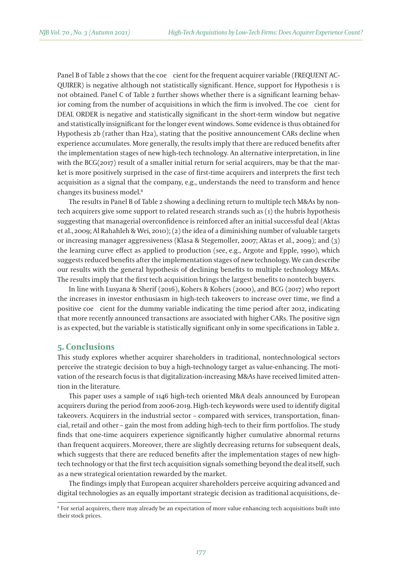Panel B of Table 2 shows that the coe cient for the frequent acquirer variable (FREQUENT AC-QUIRER) is negative although not statistically significant. Hence, support for Hypothesis 1 is not obtained. Panel C of Table 2 further shows whether there is a significant learning behavior coming from the number of acquisitions in which the firm is involved. The coe cient for DEAL ORDER is negative and statistically significant in the short-term window but negative and statistically insignificant for the longer event windows. Some evidence is thus obtained for Hypothesis 2b (rather than H2a), stating that the positive announcement CARs decline when experience accumulates. More generally, the results imply that there are reduced benefits after the implementation stages of new high-tech technology. An alternative interpretation, in line with the  $BCG(2017)$  result of a smaller initial return for serial acquirers, may be that the market is more positively surprised in the case of first-time acquirers and interprets the first tech acquisition as a signal that the company, e.g., understands the need to transform and hence changes its business model.8

The results in Panel B of Table 2 showing a declining return to multiple tech M&As by nontech acquirers give some support to related research strands such as (1) the hubris hypothesis suggesting that managerial overconfidence is reinforced after an initial successful deal (Aktas et al., 2009; Al Rahahleh & Wei, 2010); (2) the idea of a diminishing number of valuable targets or increasing manager aggressiveness (Klasa & Stegemoller, 2007; Aktas et al., 2009); and (3) the learning curve effect as applied to production (see, e.g., Argote and Epple, 1990), which suggests reduced benefits after the implementation stages of new technology. We can describe our results with the general hypothesis of declining benefits to multiple technology M&As. The results imply that the first tech acquisition brings the largest benefits to nontech buyers.

In line with Lusyana & Sherif (2016), Kohers & Kohers (2000), and BCG (2017) who report the increases in investor enthusiasm in high-tech takeovers to increase over time, we find a positive coe cient for the dummy variable indicating the time period after 2012, indicating that more recently announced transactions are associated with higher CARs. The positive sign is as expected, but the variable is statistically significant only in some specifications in Table 2.

## **5. Conclusions**

This study explores whether acquirer shareholders in traditional, nontechnological sectors perceive the strategic decision to buy a high-technology target as value-enhancing. The motivation of the research focus is that digitalization-increasing M&As have received limited attention in the literature.

This paper uses a sample of 1146 high-tech oriented M&A deals announced by European acquirers during the period from 2006-2019. High-tech keywords were used to identify digital takeovers. Acquirers in the industrial sector – compared with services, transportation, financial, retail and other – gain the most from adding high-tech to their firm portfolios. The study finds that one-time acquirers experience significantly higher cumulative abnormal returns than frequent acquirers. Moreover, there are slightly decreasing returns for subsequent deals, which suggests that there are reduced benefits after the implementation stages of new hightech technology or that the first tech acquisition signals something beyond the deal itself, such as a new strategical orientation rewarded by the market.

The findings imply that European acquirer shareholders perceive acquiring advanced and digital technologies as an equally important strategic decision as traditional acquisitions, de-

<sup>8</sup> For serial acquirers, there may already be an expectation of more value enhancing tech acquisitions built into their stock prices.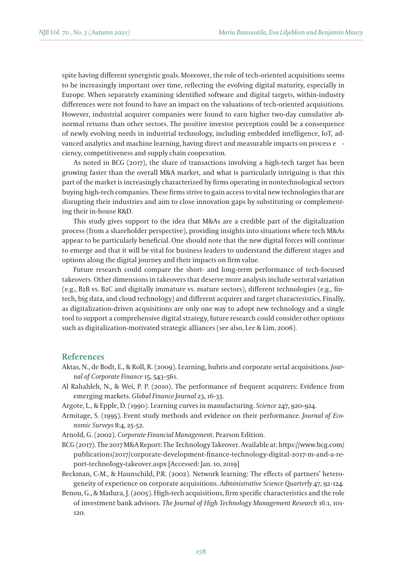spite having different synergistic goals. Moreover, the role of tech-oriented acquisitions seems to be increasingly important over time, reflecting the evolving digital maturity, especially in Europe. When separately examining identified software and digital targets, within-industry differences were not found to have an impact on the valuations of tech-oriented acquisitions. However, industrial acquirer companies were found to earn higher two-day cumulative abnormal returns than other sectors. The positive investor perception could be a consequence of newly evolving needs in industrial technology, including embedded intelligence, IoT, advanced analytics and machine learning, having direct and measurable impacts on process e ciency, competitiveness and supply chain cooperation.

As noted in BCG (2017), the share of transactions involving a high-tech target has been growing faster than the overall M&A market, and what is particularly intriguing is that this part of the market is increasingly characterized by firms operating in nontechnological sectors buying high-tech companies. These firms strive to gain access to vital new technologies that are disrupting their industries and aim to close innovation gaps by substituting or complementing their in-house R&D.

This study gives support to the idea that M&As are a credible part of the digitalization process (from a shareholder perspective), providing insights into situations where tech M&As appear to be particularly beneficial. One should note that the new digital forces will continue to emerge and that it will be vital for business leaders to understand the different stages and options along the digital journey and their impacts on firm value.

Future research could compare the short- and long-term performance of tech-focused takeovers. Other dimensions in takeovers that deserve more analysis include sectoral variation (e.g., B2B vs. B2C and digitally immature vs. mature sectors), different technologies (e.g., fintech, big data, and cloud technology) and different acquirer and target characteristics. Finally, as digitalization-driven acquisitions are only one way to adopt new technology and a single tool to support a comprehensive digital strategy, future research could consider other options such as digitalization-motivated strategic alliances (see also, Lee & Lim, 2006).

## **References**

- Aktas, N., de Bodt, E., & Roll, R. (2009). Learning, hubris and corporate serial acquisitions. *Journal of Corporate Finance* 15, 543–561.
- Al Rahahleh, N., & Wei, P. P. (2010). The performance of frequent acquirers: Evidence from emerging markets. *Global Finance Journal* 23, 16-33.
- Argote, L., & Epple, D. (1990). Learning curves in manufacturing. *Science* 247, 920-924.
- Armitage, S. (1995). Event study methods and evidence on their performance. *Journal of Economic Surveys* 8:4, 25-52.
- Arnold, G. (2002). *Corporate Financial Managemen*t. Pearson Edition.
- BCG (2017). The 2017 M&A Report: The Technology Takeover. Available at: https://www.bcg.com/ publications/2017/corporate-development-finance-technology-digital-2017-m-and-a-report-technology-takeover.aspx [Accessed: Jan. 10, 2019]
- Beckman, C-M., & Haunschild, P.R. (2002). Network learning: The effects of partners' heterogeneity of experience on corporate acquisitions. *Administrative Science Quarterly* 47, 92-124.
- Benou, G., & Madura, J. (2005). High-tech acquisitions, firm specific characteristics and the role of investment bank advisors. *The Journal of High Technology Management Research* 16:1, 101- 120.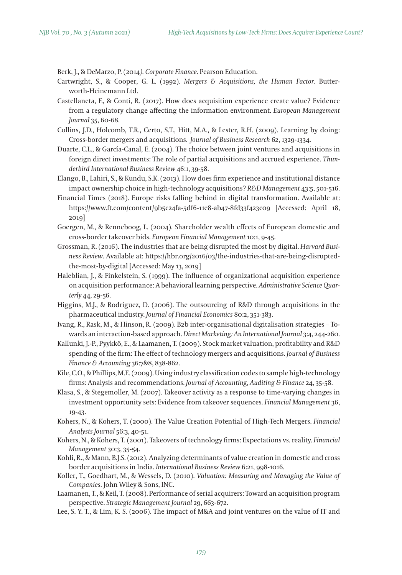Berk, J., & DeMarzo, P. (2014*). Corporate Finance*. Pearson Education.

- Cartwright, S., & Cooper, G. L. (1992). *Mergers & Acquisitions, the Human Factor*. Butterworth-Heinemann Ltd.
- Castellaneta, F., & Conti, R. (2017). How does acquisition experience create value? Evidence from a regulatory change affecting the information environment. *European Management Journal* 35, 60-68.
- Collins, J.D., Holcomb, T.R., Certo, S.T., Hitt, M.A., & Lester, R.H. (2009). Learning by doing: Cross-border mergers and acquisitions. *Journal of Business Research* 62, 1329-1334.
- Duarte, C.L., & García-Canal, E. (2004). The choice between joint ventures and acquisitions in foreign direct investments: The role of partial acquisitions and accrued experience. *Thunderbird International Business Review* 46:1, 39-58.
- Elango, B., Lahiri, S., & Kundu, S.K. (2013). How does firm experience and institutional distance impact ownership choice in high-technology acquisitions? *R&D Management* 43:5, 501-516.
- Financial Times (2018). Europe risks falling behind in digital transformation. Available at: https://www.ft.com/content/9b5c24fa-5df6-11e8-ab47-8fd33f423c09 [Accessed: April 18, 2019]
- Goergen, M., & Renneboog, L. (2004). Shareholder wealth effects of European domestic and cross-border takeover bids. *European Financial Management* 10:1, 9-45.
- Grossman, R. (2016). The industries that are being disrupted the most by digital. *Harvard Busi*ness Review. Available at: https://hbr.org/2016/03/the-industries-that-are-being-disruptedthe-most-by-digital [Accessed: May 13, 2019]
- Haleblian, J., & Finkelstein, S. (1999). The influence of organizational acquisition experience on acquisition performance: A behavioral learning perspective. *Administrative Science Quarterly* 44, 29-56.
- Higgins, M.J., & Rodriguez, D. (2006). The outsourcing of R&D through acquisitions in the pharmaceutical industry. *Journal of Financial Economics* 80:2, 351-383.
- Ivang, R., Rask, M., & Hinson, R. (2009). B2b inter-organisational digitalisation strategies Towards an interaction-based approach. *Direct Marketing: An International Journal* 3:4, 244-260.
- Kallunki, J.-P., Pyykkö, E., & Laamanen, T. (2009). Stock market valuation, profitability and R&D spending of the firm: The effect of technology mergers and acquisitions. *Journal of Business Finance & Accounting* 36:7&8, 838-862.
- Kile, C.O., & Phillips, M.E. (2009). Using industry classification codes to sample high-technology firms: Analysis and recommendations. *Journal of Accounting*, *Auditing & Finance* 24, 35-58.
- Klasa, S., & Stegemoller, M. (2007). Takeover activity as a response to time-varying changes in investment opportunity sets: Evidence from takeover sequences. *Financial Management* 36, 19-43.
- Kohers, N., & Kohers, T. (2000). The Value Creation Potential of High-Tech Mergers. *Financial Analysts Journal* 56:3, 40-51.
- Kohers, N., & Kohers, T. (2001). Takeovers of technology firms: Expectations vs. reality. *Financial Management* 30:3, 35-54.
- Kohli, R., & Mann, B.J.S. (2012). Analyzing determinants of value creation in domestic and cross border acquisitions in India. *International Business Review* 6:21, 998-1016.
- Koller, T., Goedhart, M., & Wessels, D. (2010). *Valuation: Measuring and Managing the Value of Companies*. John Wiley & Sons, INC.
- Laamanen, T., & Keil, T. (2008). Performance of serial acquirers: Toward an acquisition program perspective. *Strategic Management Journal* 29, 663-672.
- Lee, S. Y. T., & Lim, K. S. (2006). The impact of M&A and joint ventures on the value of IT and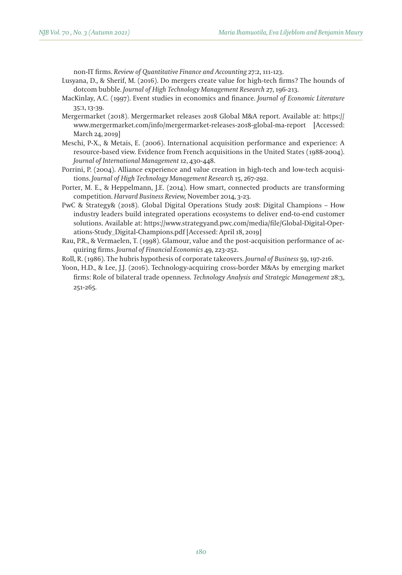non-IT firms. *Review of Quantitative Finance and Accounting* 27:2, 111-123.

- Lusyana, D., & Sherif, M. (2016). Do mergers create value for high-tech firms? The hounds of dotcom bubble. *Journal of High Technology Management Research* 27, 196-213.
- MacKinlay, A.C. (1997). Event studies in economics and finance. *Journal of Economic Literature* 35:1, 13-39.
- Mergermarket (2018). Mergermarket releases 2018 Global M&A report. Available at: https:// www.mergermarket.com/info/mergermarket-releases-2018-global-ma-report [Accessed: March 24, 2019]
- Meschi, P-X., & Metais, E. (2006). International acquisition performance and experience: A resource-based view. Evidence from French acquisitions in the United States (1988-2004). *Journal of International Management* 12, 430-448.
- Porrini, P. (2004). Alliance experience and value creation in high-tech and low-tech acquisitions. *Journal of High Technology Management Research* 15, 267-292.
- Porter, M. E., & Heppelmann, J.E. (2014). How smart, connected products are transforming competition. *Harvard Business Review,* November 2014, 3-23.
- PwC & Strategy& (2018). Global Digital Operations Study 2018: Digital Champions How industry leaders build integrated operations ecosystems to deliver end-to-end customer solutions. Available at: https://www.strategyand.pwc.com/media/file/Global-Digital-Operations-Study\_Digital-Champions.pdf [Accessed: April 18, 2019]
- Rau, P.R., & Vermaelen, T. (1998). Glamour, value and the post-acquisition performance of acquiring firms. *Journal of Financial Economics* 49, 223-252.
- Roll, R. (1986). The hubris hypothesis of corporate takeovers. *Journal of Business* 59, 197-216.
- Yoon, H.D., & Lee, J.J. (2016). Technology-acquiring cross-border M&As by emerging market firms: Role of bilateral trade openness. *Technology Analysis and Strategic Management* 28:3, 251-265.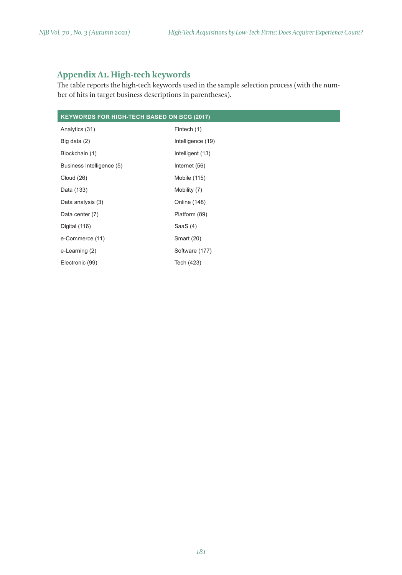# **Appendix A1. High-tech keywords**

The table reports the high-tech keywords used in the sample selection process (with the number of hits in target business descriptions in parentheses).

| <b>KEYWORDS FOR HIGH-TECH BASED ON BCG (2017)</b> |                   |  |  |  |
|---------------------------------------------------|-------------------|--|--|--|
| Analytics (31)                                    | Fintech (1)       |  |  |  |
| Big data (2)                                      | Intelligence (19) |  |  |  |
| Blockchain (1)                                    | Intelligent (13)  |  |  |  |
| Business Intelligence (5)                         | Internet (56)     |  |  |  |
| <b>Cloud (26)</b>                                 | Mobile (115)      |  |  |  |
| Data (133)                                        | Mobility (7)      |  |  |  |
| Data analysis (3)                                 | Online (148)      |  |  |  |
| Data center (7)                                   | Platform (89)     |  |  |  |
| Digital (116)                                     | SaaS $(4)$        |  |  |  |
| e-Commerce (11)                                   | <b>Smart (20)</b> |  |  |  |
| e-Learning (2)                                    | Software (177)    |  |  |  |
| Electronic (99)                                   | Tech (423)        |  |  |  |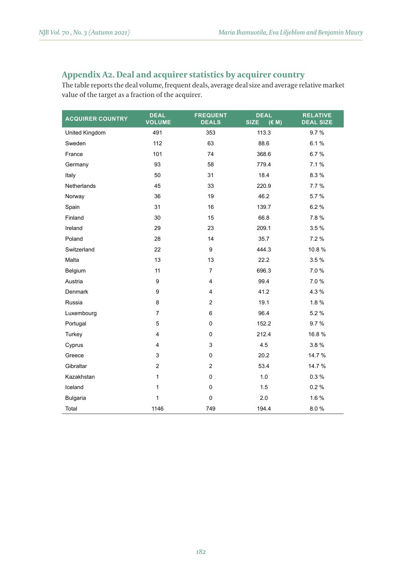# **Appendix A2. Deal and acquirer statistics by acquirer country**

The table reports the deal volume, frequent deals, average deal size and average relative market value of the target as a fraction of the acquirer.

| <b>ACQUIRER COUNTRY</b> | <b>DEAL</b><br><b>VOLUME</b> | <b>FREQUENT</b><br><b>DEALS</b> | <b>DEAL</b><br><b>SIZE</b><br>(E M) | <b>RELATIVE</b><br><b>DEAL SIZE</b> |
|-------------------------|------------------------------|---------------------------------|-------------------------------------|-------------------------------------|
| United Kingdom          | 491                          | 353                             | 113.3                               | 9.7%                                |
| Sweden                  | 112                          | 63                              | 88.6                                | 6.1%                                |
| France                  | 101                          | 74                              | 368.6                               | 6.7%                                |
| Germany                 | 93                           | 58                              | 779.4                               | 7.1 %                               |
| Italy                   | 50                           | 31                              | 18.4                                | 8.3%                                |
| Netherlands             | 45                           | 33                              | 220.9                               | 7.7 %                               |
| Norway                  | 36                           | 19                              | 46.2                                | 5.7%                                |
| Spain                   | 31                           | 16                              | 139.7                               | 6.2%                                |
| Finland                 | 30                           | 15                              | 66.8                                | 7.8%                                |
| Ireland                 | 29                           | 23                              | 209.1                               | 3.5%                                |
| Poland                  | 28                           | 14                              | 35.7                                | 7.2 %                               |
| Switzerland             | 22                           | 9                               | 444.3                               | 10.8%                               |
| Malta                   | 13                           | 13                              | 22.2                                | 3.5%                                |
| Belgium                 | 11                           | $\overline{7}$                  | 696.3                               | 7.0%                                |
| Austria                 | 9                            | 4                               | 99.4                                | 7.0%                                |
| Denmark                 | 9                            | 4                               | 41.2                                | 4.3%                                |
| Russia                  | 8                            | $\overline{2}$                  | 19.1                                | 1.8%                                |
| Luxembourg              | $\overline{7}$               | 6                               | 96.4                                | 5.2%                                |
| Portugal                | 5                            | 0                               | 152.2                               | 9.7%                                |
| Turkey                  | 4                            | $\mathbf 0$                     | 212.4                               | 16.8%                               |
| Cyprus                  | 4                            | 3                               | 4.5                                 | 3.8%                                |
| Greece                  | 3                            | $\mathbf 0$                     | 20.2                                | 14.7 %                              |
| Gibraltar               | $\overline{\mathbf{c}}$      | $\overline{2}$                  | 53.4                                | 14.7 %                              |
| Kazakhstan              | $\mathbf{1}$                 | 0                               | 1.0                                 | 0.3%                                |
| Iceland                 | 1                            | $\mathbf 0$                     | 1.5                                 | 0.2%                                |
| <b>Bulgaria</b>         | 1                            | 0                               | 2.0                                 | 1.6%                                |
| Total                   | 1146                         | 749                             | 194.4                               | 8.0%                                |